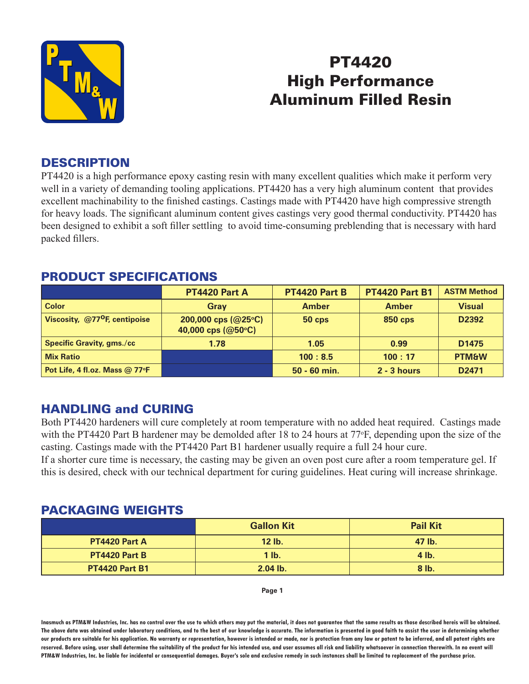

# PT4420 High Performance Aluminum Filled Resin

#### **DESCRIPTION**

PT4420 is a high performance epoxy casting resin with many excellent qualities which make it perform very well in a variety of demanding tooling applications. PT4420 has a very high aluminum content that provides excellent machinability to the finished castings. Castings made with PT4420 have high compressive strength for heavy loads. The significant aluminum content gives castings very good thermal conductivity. PT4420 has been designed to exhibit a soft filler settling to avoid time-consuming preblending that is necessary with hard packed fillers.

## PRODUCT SPECIFICATIONS

|                                             | <b>PT4420 Part A</b>                               | PT4420 Part B  | <b>PT4420 Part B1</b> | <b>ASTM Method</b> |
|---------------------------------------------|----------------------------------------------------|----------------|-----------------------|--------------------|
| <b>Color</b>                                | Gray                                               | <b>Amber</b>   | <b>Amber</b>          | <b>Visual</b>      |
| Viscosity, $@77$ <sup>O</sup> F, centipoise | 200,000 cps $(Q25^{\circ}C)$<br>40,000 cps (@50°C) | $50$ cps       | <b>850 cps</b>        | D2392              |
| <b>Specific Gravity, gms./cc</b>            | 1.78                                               | 1.05           | 0.99                  | D <sub>1475</sub>  |
| <b>Mix Ratio</b>                            |                                                    | 100:8.5        | 100:17                | <b>PTM&amp;W</b>   |
| Pot Life, 4 fl.oz. Mass @ 77°F              |                                                    | $50 - 60$ min. | $2 - 3$ hours         | D <sub>2471</sub>  |

## HANDLING and CURING

Both PT4420 hardeners will cure completely at room temperature with no added heat required. Castings made with the PT4420 Part B hardener may be demolded after 18 to 24 hours at 77°F, depending upon the size of the casting. Castings made with the PT4420 Part B1 hardener usually require a full 24 hour cure.

If a shorter cure time is necessary, the casting may be given an oven post cure after a room temperature gel. If this is desired, check with our technical department for curing guidelines. Heat curing will increase shrinkage.

#### PACKAGING WEIGHTS

|                       | <b>Gallon Kit</b> | <b>Pail Kit</b> |
|-----------------------|-------------------|-----------------|
| <b>PT4420 Part A</b>  | $12$ lb.          | 47 lb.          |
| <b>PT4420 Part B</b>  | $1$ lb.           | $4$ lb.         |
| <b>PT4420 Part B1</b> | $2.04$ lb.        | $8$ lb.         |

**Page 1**

**Inasmuch as PTM&W Industries, Inc. has no control over the use to which others may put the material, it does not guarantee that the same results as those described hereis will be obtained. The above data was obtained under laboratory conditions, and to the best of our knowledge is accurate. The information is presented in good faith to assist the user in determining whether our products are suitable for his application. No warranty or representation, however is intended or made, nor is protection from any law or patent to be inferred, and all patent rights are**  reserved. Before using, user shall determine the suitability of the product for his intended use, and user assumes all risk and liability whatsoever in connection therewith. In no event will **PTM&W Industries, Inc. be liable for incidental or consequential damages. Buyer's sole and exclusive remedy in such instances shall be limited to replacement of the purchase price.**